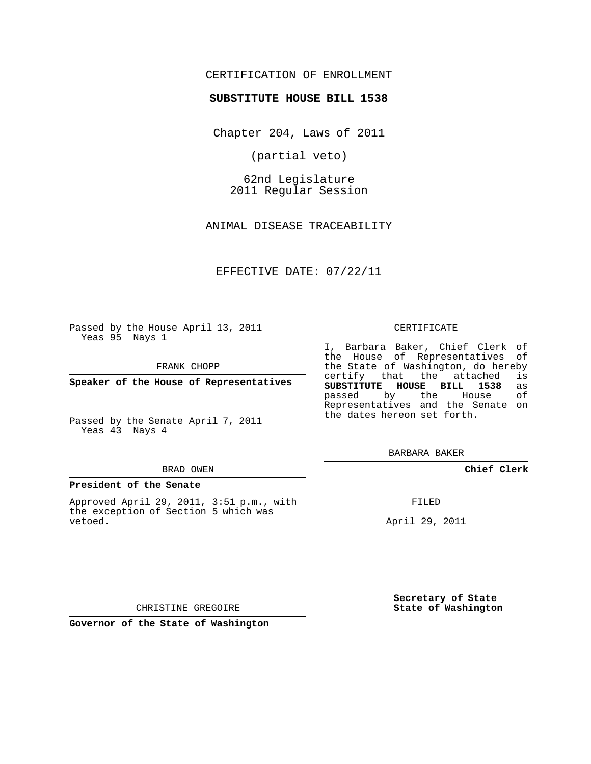# CERTIFICATION OF ENROLLMENT

#### **SUBSTITUTE HOUSE BILL 1538**

Chapter 204, Laws of 2011

(partial veto)

62nd Legislature 2011 Regular Session

ANIMAL DISEASE TRACEABILITY

EFFECTIVE DATE: 07/22/11

Passed by the House April 13, 2011 Yeas 95 Nays 1

FRANK CHOPP

**Speaker of the House of Representatives**

Passed by the Senate April 7, 2011 Yeas 43 Nays 4

#### BRAD OWEN

#### **President of the Senate**

Approved April 29, 2011, 3:51 p.m., with the exception of Section 5 which was vetoed.

#### CERTIFICATE

I, Barbara Baker, Chief Clerk of the House of Representatives of the State of Washington, do hereby<br>certify that the attached is certify that the attached is<br>SUBSTITUTE HOUSE BILL 1538 as **SUBSTITUTE HOUSE BILL 1538** as passed by the House Representatives and the Senate on the dates hereon set forth.

BARBARA BAKER

### **Chief Clerk**

FILED

April 29, 2011

**Secretary of State State of Washington**

CHRISTINE GREGOIRE

**Governor of the State of Washington**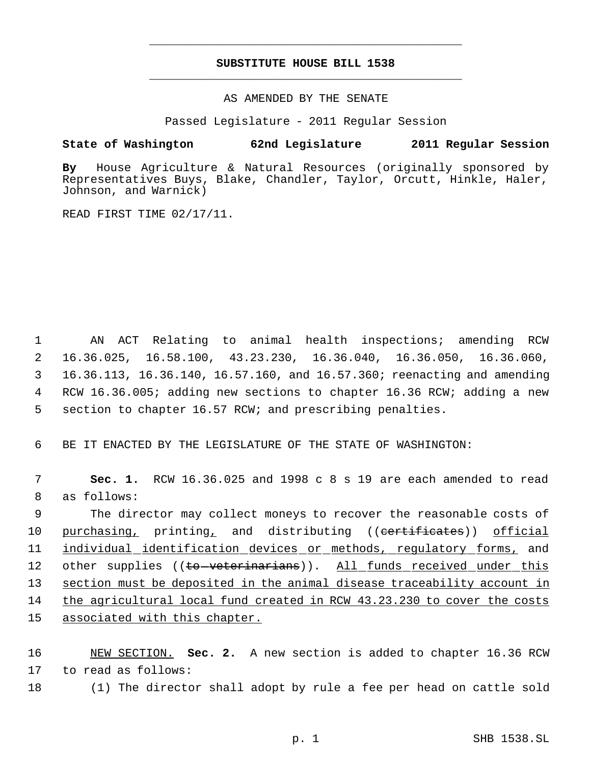# **SUBSTITUTE HOUSE BILL 1538** \_\_\_\_\_\_\_\_\_\_\_\_\_\_\_\_\_\_\_\_\_\_\_\_\_\_\_\_\_\_\_\_\_\_\_\_\_\_\_\_\_\_\_\_\_

\_\_\_\_\_\_\_\_\_\_\_\_\_\_\_\_\_\_\_\_\_\_\_\_\_\_\_\_\_\_\_\_\_\_\_\_\_\_\_\_\_\_\_\_\_

AS AMENDED BY THE SENATE

Passed Legislature - 2011 Regular Session

# **State of Washington 62nd Legislature 2011 Regular Session**

**By** House Agriculture & Natural Resources (originally sponsored by Representatives Buys, Blake, Chandler, Taylor, Orcutt, Hinkle, Haler, Johnson, and Warnick)

READ FIRST TIME 02/17/11.

 AN ACT Relating to animal health inspections; amending RCW 16.36.025, 16.58.100, 43.23.230, 16.36.040, 16.36.050, 16.36.060, 16.36.113, 16.36.140, 16.57.160, and 16.57.360; reenacting and amending RCW 16.36.005; adding new sections to chapter 16.36 RCW; adding a new section to chapter 16.57 RCW; and prescribing penalties.

6 BE IT ENACTED BY THE LEGISLATURE OF THE STATE OF WASHINGTON:

 7 **Sec. 1.** RCW 16.36.025 and 1998 c 8 s 19 are each amended to read 8 as follows:

 9 The director may collect moneys to recover the reasonable costs of 10 purchasing, printing, and distributing ((eertificates)) official 11 individual identification devices or methods, regulatory forms, and 12 other supplies ((to-veterinarians)). All funds received under this 13 section must be deposited in the animal disease traceability account in 14 the agricultural local fund created in RCW 43.23.230 to cover the costs 15 associated with this chapter.

16 NEW SECTION. **Sec. 2.** A new section is added to chapter 16.36 RCW 17 to read as follows:

18 (1) The director shall adopt by rule a fee per head on cattle sold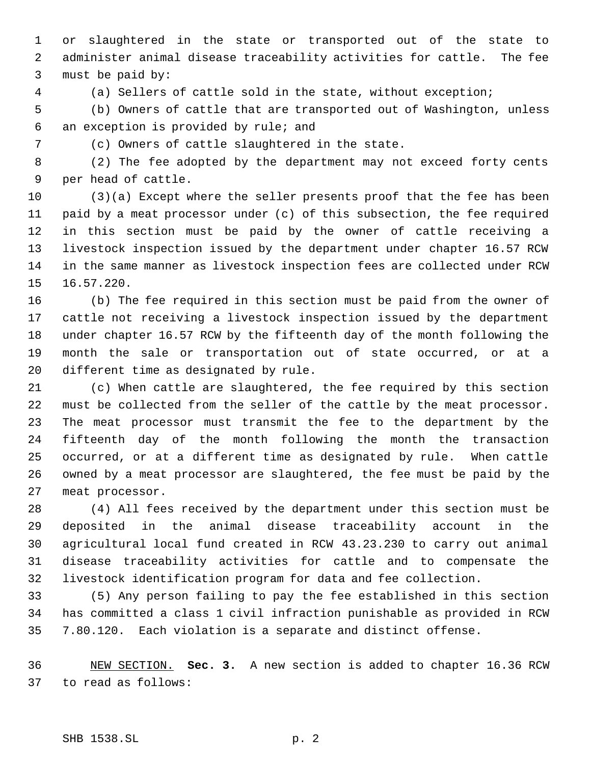or slaughtered in the state or transported out of the state to administer animal disease traceability activities for cattle. The fee must be paid by:

(a) Sellers of cattle sold in the state, without exception;

 (b) Owners of cattle that are transported out of Washington, unless an exception is provided by rule; and

(c) Owners of cattle slaughtered in the state.

 (2) The fee adopted by the department may not exceed forty cents per head of cattle.

 (3)(a) Except where the seller presents proof that the fee has been paid by a meat processor under (c) of this subsection, the fee required in this section must be paid by the owner of cattle receiving a livestock inspection issued by the department under chapter 16.57 RCW in the same manner as livestock inspection fees are collected under RCW 16.57.220.

 (b) The fee required in this section must be paid from the owner of cattle not receiving a livestock inspection issued by the department under chapter 16.57 RCW by the fifteenth day of the month following the month the sale or transportation out of state occurred, or at a different time as designated by rule.

 (c) When cattle are slaughtered, the fee required by this section must be collected from the seller of the cattle by the meat processor. The meat processor must transmit the fee to the department by the fifteenth day of the month following the month the transaction occurred, or at a different time as designated by rule. When cattle owned by a meat processor are slaughtered, the fee must be paid by the meat processor.

 (4) All fees received by the department under this section must be deposited in the animal disease traceability account in the agricultural local fund created in RCW 43.23.230 to carry out animal disease traceability activities for cattle and to compensate the livestock identification program for data and fee collection.

 (5) Any person failing to pay the fee established in this section has committed a class 1 civil infraction punishable as provided in RCW 7.80.120. Each violation is a separate and distinct offense.

 NEW SECTION. **Sec. 3.** A new section is added to chapter 16.36 RCW to read as follows: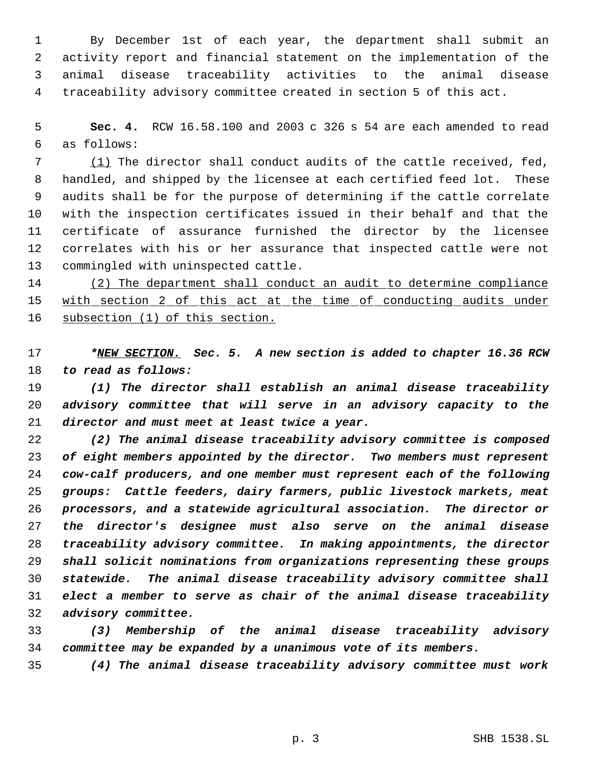By December 1st of each year, the department shall submit an activity report and financial statement on the implementation of the animal disease traceability activities to the animal disease traceability advisory committee created in section 5 of this act.

 **Sec. 4.** RCW 16.58.100 and 2003 c 326 s 54 are each amended to read as follows:

7 (1) The director shall conduct audits of the cattle received, fed, handled, and shipped by the licensee at each certified feed lot. These audits shall be for the purpose of determining if the cattle correlate with the inspection certificates issued in their behalf and that the certificate of assurance furnished the director by the licensee correlates with his or her assurance that inspected cattle were not commingled with uninspected cattle.

 (2) The department shall conduct an audit to determine compliance 15 with section 2 of this act at the time of conducting audits under subsection (1) of this section.

 *\*NEW SECTION. Sec. 5. A new section is added to chapter 16.36 RCW to read as follows:*

 *(1) The director shall establish an animal disease traceability advisory committee that will serve in an advisory capacity to the director and must meet at least twice a year.*

 *(2) The animal disease traceability advisory committee is composed of eight members appointed by the director. Two members must represent cow-calf producers, and one member must represent each of the following groups: Cattle feeders, dairy farmers, public livestock markets, meat processors, and a statewide agricultural association. The director or the director's designee must also serve on the animal disease traceability advisory committee. In making appointments, the director shall solicit nominations from organizations representing these groups statewide. The animal disease traceability advisory committee shall elect a member to serve as chair of the animal disease traceability advisory committee.*

 *(3) Membership of the animal disease traceability advisory committee may be expanded by a unanimous vote of its members.*

*(4) The animal disease traceability advisory committee must work*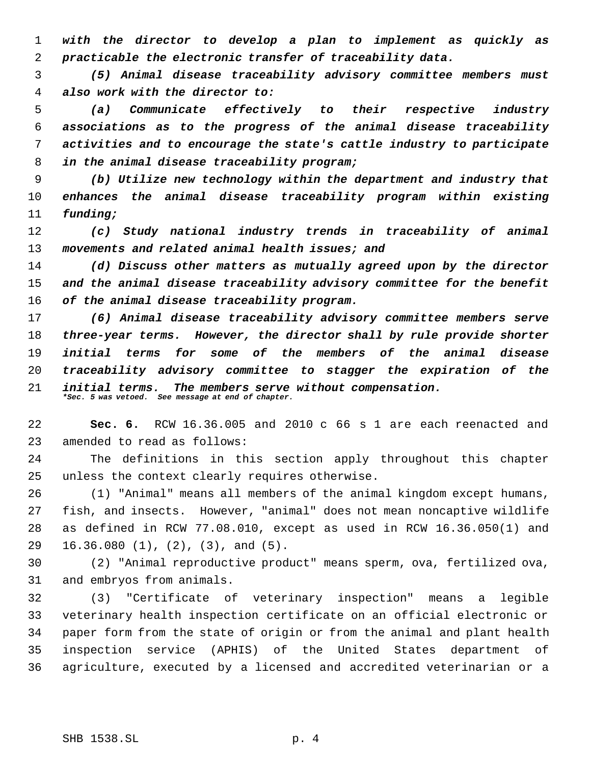*with the director to develop a plan to implement as quickly as practicable the electronic transfer of traceability data.*

 *(5) Animal disease traceability advisory committee members must also work with the director to:*

 *(a) Communicate effectively to their respective industry associations as to the progress of the animal disease traceability activities and to encourage the state's cattle industry to participate in the animal disease traceability program;*

 *(b) Utilize new technology within the department and industry that enhances the animal disease traceability program within existing funding;*

 *(c) Study national industry trends in traceability of animal movements and related animal health issues; and*

 *(d) Discuss other matters as mutually agreed upon by the director and the animal disease traceability advisory committee for the benefit of the animal disease traceability program.*

 *(6) Animal disease traceability advisory committee members serve three-year terms. However, the director shall by rule provide shorter initial terms for some of the members of the animal disease traceability advisory committee to stagger the expiration of the initial terms. The members serve without compensation. \*Sec. 5 was vetoed. See message at end of chapter.*

 **Sec. 6.** RCW 16.36.005 and 2010 c 66 s 1 are each reenacted and amended to read as follows:

 The definitions in this section apply throughout this chapter unless the context clearly requires otherwise.

 (1) "Animal" means all members of the animal kingdom except humans, fish, and insects. However, "animal" does not mean noncaptive wildlife as defined in RCW 77.08.010, except as used in RCW 16.36.050(1) and 16.36.080 (1), (2), (3), and (5).

 (2) "Animal reproductive product" means sperm, ova, fertilized ova, and embryos from animals.

 (3) "Certificate of veterinary inspection" means a legible veterinary health inspection certificate on an official electronic or paper form from the state of origin or from the animal and plant health inspection service (APHIS) of the United States department of agriculture, executed by a licensed and accredited veterinarian or a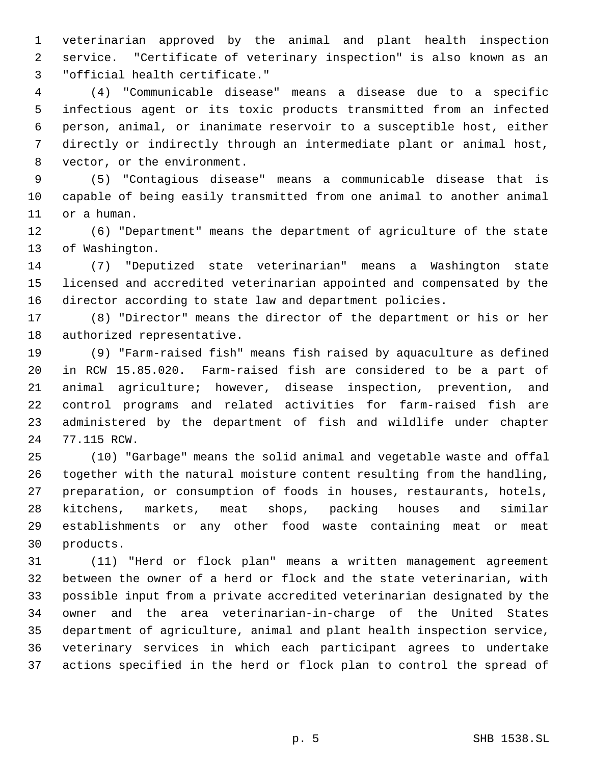veterinarian approved by the animal and plant health inspection service. "Certificate of veterinary inspection" is also known as an "official health certificate."

 (4) "Communicable disease" means a disease due to a specific infectious agent or its toxic products transmitted from an infected person, animal, or inanimate reservoir to a susceptible host, either directly or indirectly through an intermediate plant or animal host, vector, or the environment.

 (5) "Contagious disease" means a communicable disease that is capable of being easily transmitted from one animal to another animal or a human.

 (6) "Department" means the department of agriculture of the state of Washington.

 (7) "Deputized state veterinarian" means a Washington state licensed and accredited veterinarian appointed and compensated by the director according to state law and department policies.

 (8) "Director" means the director of the department or his or her authorized representative.

 (9) "Farm-raised fish" means fish raised by aquaculture as defined in RCW 15.85.020. Farm-raised fish are considered to be a part of animal agriculture; however, disease inspection, prevention, and control programs and related activities for farm-raised fish are administered by the department of fish and wildlife under chapter 77.115 RCW.

 (10) "Garbage" means the solid animal and vegetable waste and offal together with the natural moisture content resulting from the handling, preparation, or consumption of foods in houses, restaurants, hotels, kitchens, markets, meat shops, packing houses and similar establishments or any other food waste containing meat or meat products.

 (11) "Herd or flock plan" means a written management agreement between the owner of a herd or flock and the state veterinarian, with possible input from a private accredited veterinarian designated by the owner and the area veterinarian-in-charge of the United States department of agriculture, animal and plant health inspection service, veterinary services in which each participant agrees to undertake actions specified in the herd or flock plan to control the spread of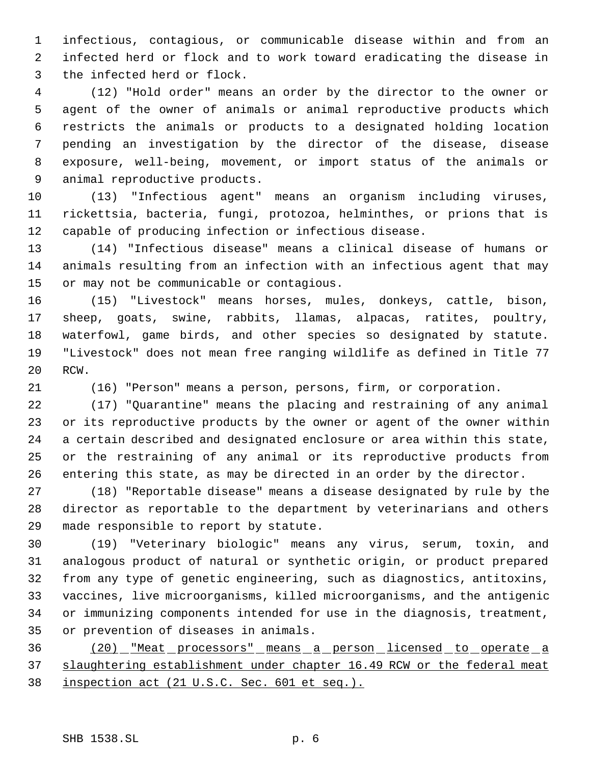infectious, contagious, or communicable disease within and from an infected herd or flock and to work toward eradicating the disease in the infected herd or flock.

 (12) "Hold order" means an order by the director to the owner or agent of the owner of animals or animal reproductive products which restricts the animals or products to a designated holding location pending an investigation by the director of the disease, disease exposure, well-being, movement, or import status of the animals or animal reproductive products.

 (13) "Infectious agent" means an organism including viruses, rickettsia, bacteria, fungi, protozoa, helminthes, or prions that is capable of producing infection or infectious disease.

 (14) "Infectious disease" means a clinical disease of humans or animals resulting from an infection with an infectious agent that may or may not be communicable or contagious.

 (15) "Livestock" means horses, mules, donkeys, cattle, bison, sheep, goats, swine, rabbits, llamas, alpacas, ratites, poultry, waterfowl, game birds, and other species so designated by statute. "Livestock" does not mean free ranging wildlife as defined in Title 77 RCW.

(16) "Person" means a person, persons, firm, or corporation.

 (17) "Quarantine" means the placing and restraining of any animal or its reproductive products by the owner or agent of the owner within a certain described and designated enclosure or area within this state, or the restraining of any animal or its reproductive products from entering this state, as may be directed in an order by the director.

 (18) "Reportable disease" means a disease designated by rule by the director as reportable to the department by veterinarians and others made responsible to report by statute.

 (19) "Veterinary biologic" means any virus, serum, toxin, and analogous product of natural or synthetic origin, or product prepared from any type of genetic engineering, such as diagnostics, antitoxins, vaccines, live microorganisms, killed microorganisms, and the antigenic or immunizing components intended for use in the diagnosis, treatment, or prevention of diseases in animals.

 (20) "Meat processors" means a person licensed to operate a 37 slaughtering establishment under chapter 16.49 RCW or the federal meat inspection act (21 U.S.C. Sec. 601 et seq.).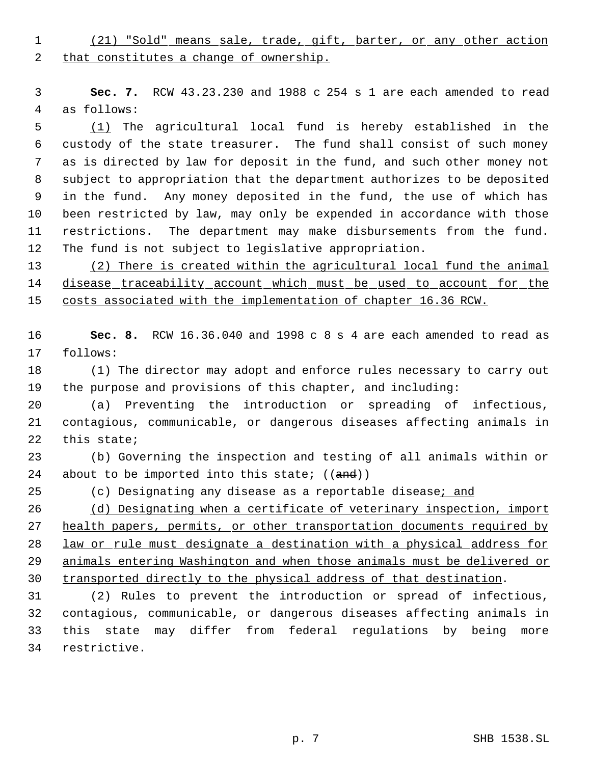(21) "Sold" means sale, trade, gift, barter, or any other action 2 that constitutes a change of ownership.

 **Sec. 7.** RCW 43.23.230 and 1988 c 254 s 1 are each amended to read as follows:

 (1) The agricultural local fund is hereby established in the custody of the state treasurer. The fund shall consist of such money as is directed by law for deposit in the fund, and such other money not subject to appropriation that the department authorizes to be deposited in the fund. Any money deposited in the fund, the use of which has been restricted by law, may only be expended in accordance with those restrictions. The department may make disbursements from the fund. The fund is not subject to legislative appropriation.

 (2) There is created within the agricultural local fund the animal 14 disease traceability account which must be used to account for the costs associated with the implementation of chapter 16.36 RCW.

 **Sec. 8.** RCW 16.36.040 and 1998 c 8 s 4 are each amended to read as follows:

 (1) The director may adopt and enforce rules necessary to carry out the purpose and provisions of this chapter, and including:

 (a) Preventing the introduction or spreading of infectious, contagious, communicable, or dangerous diseases affecting animals in this state;

 (b) Governing the inspection and testing of all animals within or 24 about to be imported into this state;  $((and))$ 

25 (c) Designating any disease as a reportable disease; and

26 (d) Designating when a certificate of veterinary inspection, import 27 health papers, permits, or other transportation documents required by law or rule must designate a destination with a physical address for animals entering Washington and when those animals must be delivered or transported directly to the physical address of that destination.

 (2) Rules to prevent the introduction or spread of infectious, contagious, communicable, or dangerous diseases affecting animals in this state may differ from federal regulations by being more restrictive.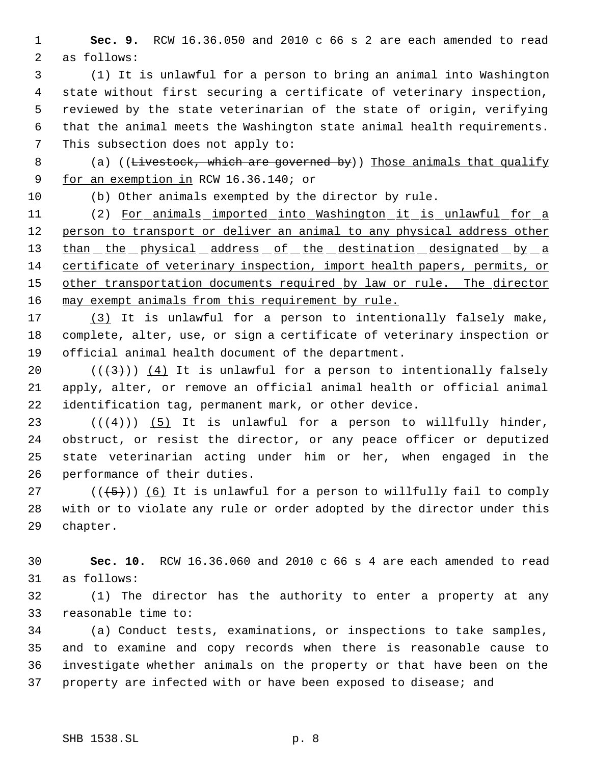**Sec. 9.** RCW 16.36.050 and 2010 c 66 s 2 are each amended to read as follows:

 (1) It is unlawful for a person to bring an animal into Washington state without first securing a certificate of veterinary inspection, reviewed by the state veterinarian of the state of origin, verifying that the animal meets the Washington state animal health requirements. This subsection does not apply to:

8 (a) ((Livestock, which are governed by)) Those animals that qualify 9 for an exemption in RCW 16.36.140; or

(b) Other animals exempted by the director by rule.

 (2) For animals imported into Washington it is unlawful for a person to transport or deliver an animal to any physical address other 13 than the physical address of the destination designated by a certificate of veterinary inspection, import health papers, permits, or 15 other transportation documents required by law or rule. The director 16 may exempt animals from this requirement by rule.

 (3) It is unlawful for a person to intentionally falsely make, complete, alter, use, or sign a certificate of veterinary inspection or official animal health document of the department.

20  $((\langle 3 \rangle)(4)$  It is unlawful for a person to intentionally falsely apply, alter, or remove an official animal health or official animal identification tag, permanent mark, or other device.

 $((4+))$  (5) It is unlawful for a person to willfully hinder, obstruct, or resist the director, or any peace officer or deputized state veterinarian acting under him or her, when engaged in the performance of their duties.

27 ( $(\overline{\{5\}})$ ) (6) It is unlawful for a person to willfully fail to comply with or to violate any rule or order adopted by the director under this chapter.

 **Sec. 10.** RCW 16.36.060 and 2010 c 66 s 4 are each amended to read as follows:

 (1) The director has the authority to enter a property at any reasonable time to:

 (a) Conduct tests, examinations, or inspections to take samples, and to examine and copy records when there is reasonable cause to investigate whether animals on the property or that have been on the property are infected with or have been exposed to disease; and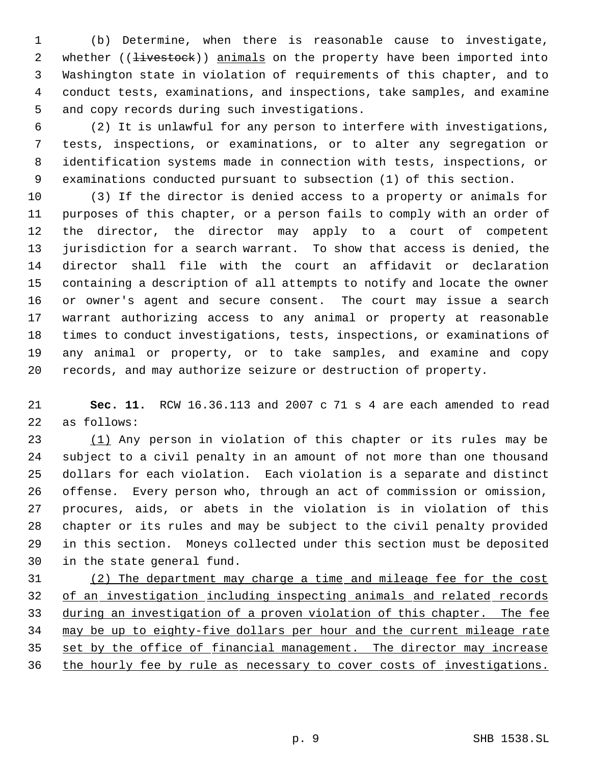(b) Determine, when there is reasonable cause to investigate, 2 whether (( $\frac{1}{1}$ vestock)) animals on the property have been imported into Washington state in violation of requirements of this chapter, and to conduct tests, examinations, and inspections, take samples, and examine and copy records during such investigations.

 (2) It is unlawful for any person to interfere with investigations, tests, inspections, or examinations, or to alter any segregation or identification systems made in connection with tests, inspections, or examinations conducted pursuant to subsection (1) of this section.

 (3) If the director is denied access to a property or animals for purposes of this chapter, or a person fails to comply with an order of the director, the director may apply to a court of competent jurisdiction for a search warrant. To show that access is denied, the director shall file with the court an affidavit or declaration containing a description of all attempts to notify and locate the owner or owner's agent and secure consent. The court may issue a search warrant authorizing access to any animal or property at reasonable times to conduct investigations, tests, inspections, or examinations of any animal or property, or to take samples, and examine and copy records, and may authorize seizure or destruction of property.

 **Sec. 11.** RCW 16.36.113 and 2007 c 71 s 4 are each amended to read as follows:

 (1) Any person in violation of this chapter or its rules may be subject to a civil penalty in an amount of not more than one thousand dollars for each violation. Each violation is a separate and distinct offense. Every person who, through an act of commission or omission, procures, aids, or abets in the violation is in violation of this chapter or its rules and may be subject to the civil penalty provided in this section. Moneys collected under this section must be deposited in the state general fund.

 (2) The department may charge a time and mileage fee for the cost 32 of an investigation including inspecting animals and related records during an investigation of a proven violation of this chapter. The fee may be up to eighty-five dollars per hour and the current mileage rate 35 set by the office of financial management. The director may increase 36 the hourly fee by rule as necessary to cover costs of investigations.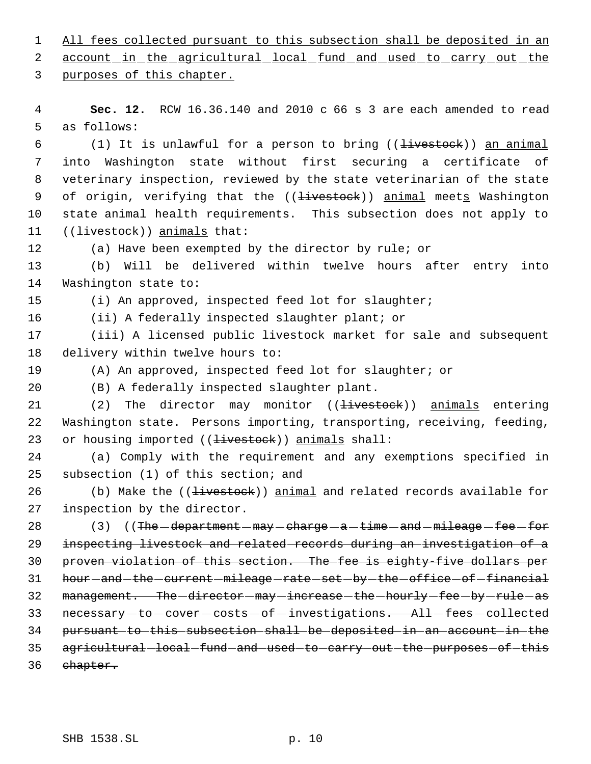1 All fees collected pursuant to this subsection shall be deposited in an 2 account in the agricultural local fund and used to carry out the

purposes of this chapter.

 **Sec. 12.** RCW 16.36.140 and 2010 c 66 s 3 are each amended to read as follows:

6 (1) It is unlawful for a person to bring  $($  ( $\frac{1}{1}$  ivestock)) an animal into Washington state without first securing a certificate of veterinary inspection, reviewed by the state veterinarian of the state 9 of origin, verifying that the ((<del>livestock</del>)) animal meets Washington state animal health requirements. This subsection does not apply to 11 ((<del>livestock</del>)) animals that:

(a) Have been exempted by the director by rule; or

 (b) Will be delivered within twelve hours after entry into Washington state to:

(i) An approved, inspected feed lot for slaughter;

(ii) A federally inspected slaughter plant; or

 (iii) A licensed public livestock market for sale and subsequent delivery within twelve hours to:

(A) An approved, inspected feed lot for slaughter; or

(B) A federally inspected slaughter plant.

21 (2) The director may monitor ((<del>livestock</del>)) animals entering Washington state. Persons importing, transporting, receiving, feeding, 23 or housing imported ((<del>livestock</del>)) animals shall:

 (a) Comply with the requirement and any exemptions specified in subsection (1) of this section; and

26 (b) Make the ((<del>livestock</del>)) animal and related records available for inspection by the director.

 $(3)$   $($  The  $-\text{department} - \text{may} - \text{charge} - \text{a} - \text{time} - \text{and} - \text{mileage} - \text{fee} - \text{fore}$  inspecting livestock and related records during an investigation of a proven violation of this section. The fee is eighty-five dollars per 31 hour-and-the-current-mileage-rate-set-by-the-office-of-financial 32 management. The -director-may-increase-the-hourly-fee-by-rule-as 33 necessary-to-cover-costs-of-investigations. All-fees-collected pursuant to this subsection shall be deposited in an account in the 35 agricultural-local-fund-and-used-to-carry-out-the-purposes-of-this chapter.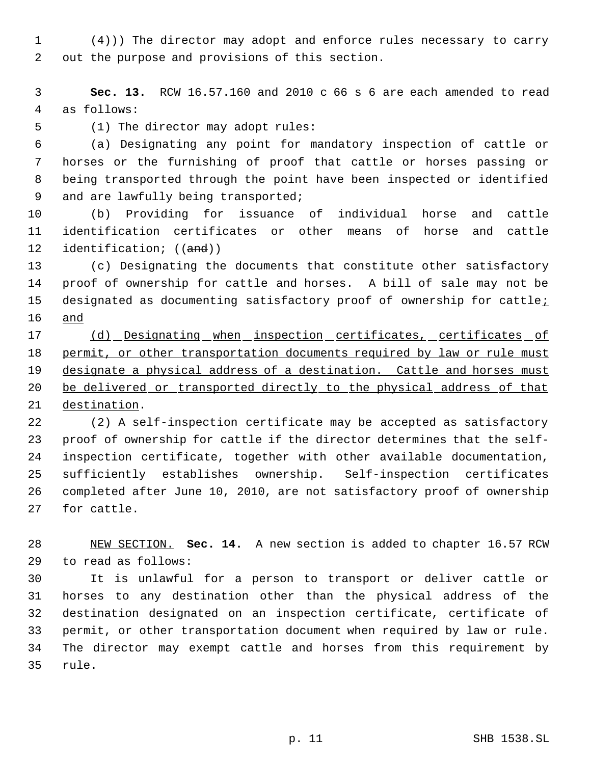$(4)$ )) The director may adopt and enforce rules necessary to carry out the purpose and provisions of this section.

 **Sec. 13.** RCW 16.57.160 and 2010 c 66 s 6 are each amended to read as follows:

(1) The director may adopt rules:

 (a) Designating any point for mandatory inspection of cattle or horses or the furnishing of proof that cattle or horses passing or being transported through the point have been inspected or identified 9 and are lawfully being transported;

 (b) Providing for issuance of individual horse and cattle identification certificates or other means of horse and cattle 12 identification; ((and))

 (c) Designating the documents that constitute other satisfactory proof of ownership for cattle and horses. A bill of sale may not be 15 designated as documenting satisfactory proof of ownership for cattle<sub>i</sub> and

17 (d) Designating when inspection certificates, certificates of 18 permit, or other transportation documents required by law or rule must 19 designate a physical address of a destination. Cattle and horses must be delivered or transported directly to the physical address of that destination.

 (2) A self-inspection certificate may be accepted as satisfactory proof of ownership for cattle if the director determines that the self- inspection certificate, together with other available documentation, sufficiently establishes ownership. Self-inspection certificates completed after June 10, 2010, are not satisfactory proof of ownership for cattle.

 NEW SECTION. **Sec. 14.** A new section is added to chapter 16.57 RCW to read as follows:

 It is unlawful for a person to transport or deliver cattle or horses to any destination other than the physical address of the destination designated on an inspection certificate, certificate of permit, or other transportation document when required by law or rule. The director may exempt cattle and horses from this requirement by rule.